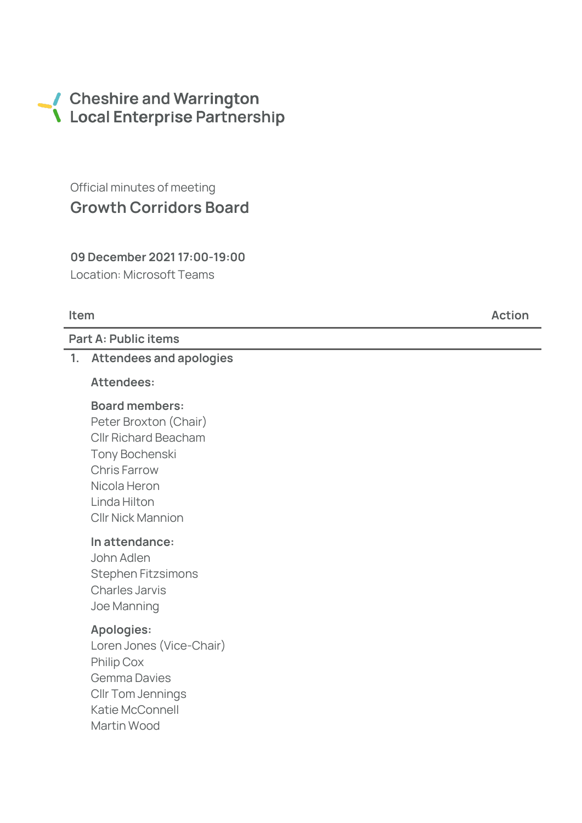# Cheshire and Warrington Local Enterprise Partnership

Official minutes of meeting Growth Corridors Board

09 December 2021 17:00-19:00 Location: Microsoft Teams

Part A: Public items

#### 1. Attendees and apologies

#### Attendees:

## Board members:

Peter Broxton (Chair) Cllr Richard Beacham Tony Bochenski Chris Farrow Nicola Heron Linda Hilton Cllr Nick Mannion

#### In attendance:

John Adlen Stephen Fitzsimons Charles Jarvis Joe Manning

#### Apologies:

Loren Jones (Vice -Chair) Philip Cox Gemma Davies Cllr Tom Jennings Katie McConnell Martin Wood

Item Action and the Contract of the Contract of the Contract of the Action Action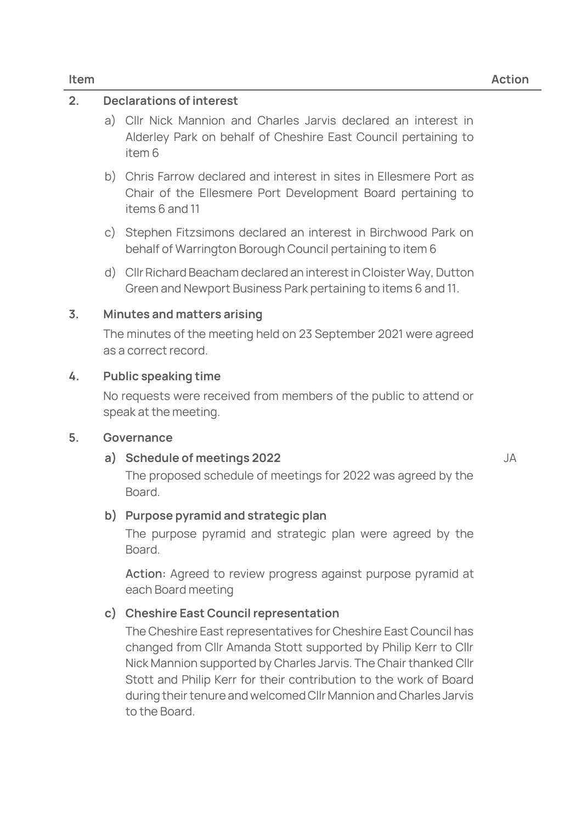## 2. Declarations of interest

- a) Cllr Nick Mannion and Charles Jarvis declared an interest in Alderley Park on behalf of Cheshire East Council pertaining to item 6
- b) Chris Farrow declared and interest in sites in Ellesmere Port as Chair of the Ellesmere Port Development Board pertaining to items 6 and 11
- c) Stephen Fitzsimons declared an interest in Birchwood Park on behalf of Warrington Borough Council pertaining to item 6
- d) Cllr Richard Beacham declared an interest in Cloister Way, Dutton Green and Newport Business Park pertaining to items 6 and 11.

#### 3. Minutes and matters arising

The minutes of the meeting held on 23 September 2021 were agreed as a correct record.

#### 4. Public speaking time

No requests were received from members of the public to attend or speak at the meeting.

#### 5. Governance

## a) Schedule of meetings 2022

JA

The proposed schedule of meetings for 2022 was agreed by the Board.

## b) Purpose pyramid and strategic plan

The purpose pyramid and strategic plan were agreed by the Board.

Action: Agreed to review progress against purpose pyramid at each Board meeting

## c) Cheshire East Council representation

The Cheshire East representatives for Cheshire East Council has changed from Cllr Amanda Stott supported by Philip Kerr to Cllr Nick Mannion supported by Charles Jarvis. The Chair thanked Cllr Stott and Philip Kerr for their contribution to the work of Board during their tenure and welcomed Cllr Mannion and Charles Jarvis to the Board.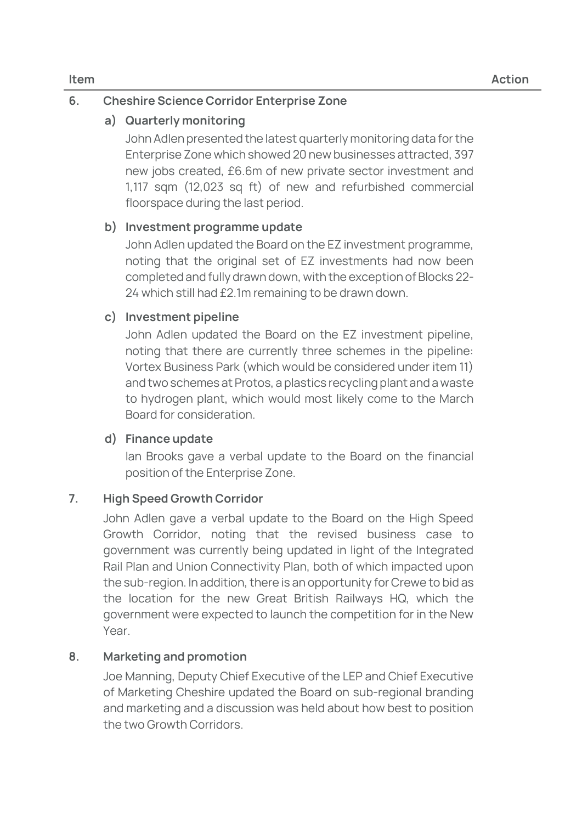## 6. Cheshire Science Corridor Enterprise Zone

## a) Quarterly monitoring

John Adlen presented the latest quarterly monitoring data for the Enterprise Zone which showed 20 new businesses attracted, 397 new jobs created, £6.6m of new private sector investment and 1,117 sqm (12,023 sq ft) of new and refurbished commercial floorspace during the last period.

## b) Investment programme update

John Adlen updated the Board on the EZ investment programme, noting that the original set of EZ investments had now been completed and fully drawn down, with the exception of Blocks 22- 24 which still had £2.1m remaining to be drawn down.

## c) Investment pipeline

John Adlen updated the Board on the EZ investment pipeline, noting that there are currently three schemes in the pipeline: Vortex Business Park (which would be considered under item 11) and two schemes at Protos, a plastics recycling plant and a waste to hydrogen plant, which would most likely come to the March Board for consideration.

## d) Finance update

Ian Brooks gave a verbal update to the Board on the financial position of the Enterprise Zone.

## 7. High Speed Growth Corridor

John Adlen gave a verbal update to the Board on the High Speed Growth Corridor, noting that the revised business case to government was currently being updated in light of the Integrated Rail Plan and Union Connectivity Plan, both of which impacted upon the sub-region. In addition, there is an opportunity for Crewe to bid as the location for the new Great British Railways HQ, which the government were expected to launch the competition for in the New Year

## 8. Marketing and promotion

Joe Manning, Deputy Chief Executive of the LEP and Chief Executive of Marketing Cheshire updated the Board on sub-regional branding and marketing and a discussion was held about how best to position the two Growth Corridors.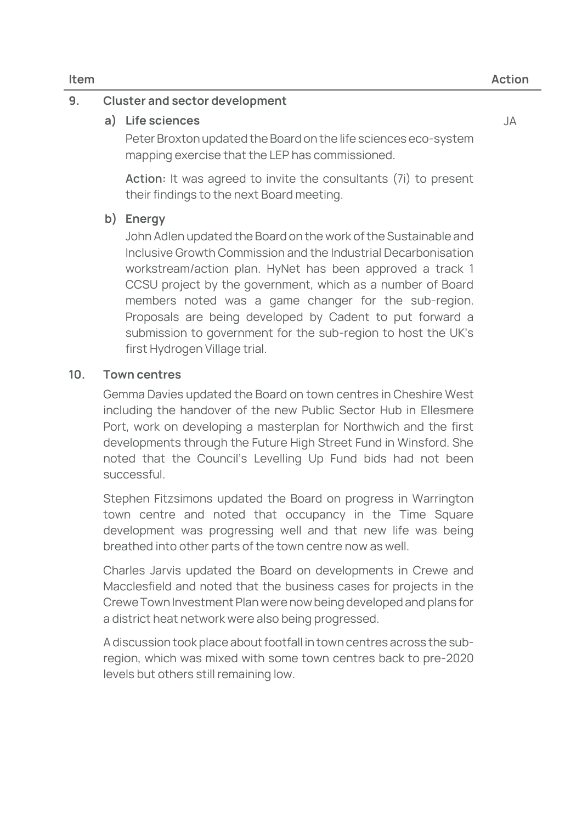## 9. Cluster and sector development

a) Life sciences

Peter Broxton updated the Board on the life sciences eco-system mapping exercise that the LEP has commissioned.

**Action:** It was agreed to invite the consultants (7i) to present their findings to the next Board meeting.

## b) Energy

John Adlen updated the Board on the work of the Sustainable and Inclusive Growth Commission and the Industrial Decarbonisation workstream/action plan. HyNet has been approved a track 1 CCSU project by the government, which as a number of Board members noted was a game changer for the sub-region. Proposals are being developed by Cadent to put forward a submission to government for the sub-region to host the UK's first Hydrogen Village trial.

## 10. Town centres

Gemma Davies updated the Board on town centres in Cheshire West including the handover of the new Public Sector Hub in Ellesmere Port, work on developing a masterplan for Northwich and the first developments through the Future High Street Fund in Winsford. She noted that the Council's Levelling Up Fund bids had not been successful.

Stephen Fitzsimons updated the Board on progress in Warrington town centre and noted that occupancy in the Time Square development was progressing well and that new life was being breathed into other parts of the town centre now as well.

Charles Jarvis updated the Board on developments in Crewe and Macclesfield and noted that the business cases for projects in the Crewe Town Investment Plan were now being developed and plans for a district heat network were also being progressed.

A discussion took place about footfall in town centres across the subregion, which was mixed with some town centres back to pre-2020 levels but others still remaining low.

JA